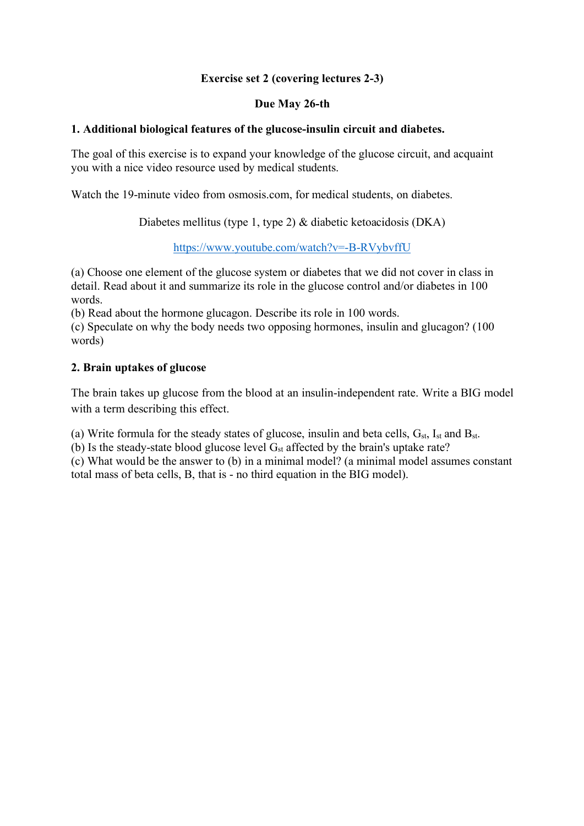# **Exercise set 2 (covering lectures 2-3)**

## **Due May 26-th**

#### **1. Additional biological features of the glucose-insulin circuit and diabetes.**

The goal of this exercise is to expand your knowledge of the glucose circuit, and acquaint you with a nice video resource used by medical students.

Watch the 19-minute video from osmosis.com, for medical students, on diabetes.

Diabetes mellitus (type 1, type 2) & diabetic ketoacidosis (DKA)

https://www.youtube.com/watch?v=-B-RVybvffU

(a) Choose one element of the glucose system or diabetes that we did not cover in class in detail. Read about it and summarize its role in the glucose control and/or diabetes in 100 words.

(b) Read about the hormone glucagon. Describe its role in 100 words.

(c) Speculate on why the body needs two opposing hormones, insulin and glucagon? (100 words)

#### **2. Brain uptakes of glucose**

The brain takes up glucose from the blood at an insulin-independent rate. Write a BIG model with a term describing this effect.

(a) Write formula for the steady states of glucose, insulin and beta cells,  $G_{st}$ ,  $I_{st}$  and  $B_{st}$ .

(b) Is the steady-state blood glucose level  $G_{st}$  affected by the brain's uptake rate?

(c) What would be the answer to (b) in a minimal model? (a minimal model assumes constant total mass of beta cells, B, that is - no third equation in the BIG model).